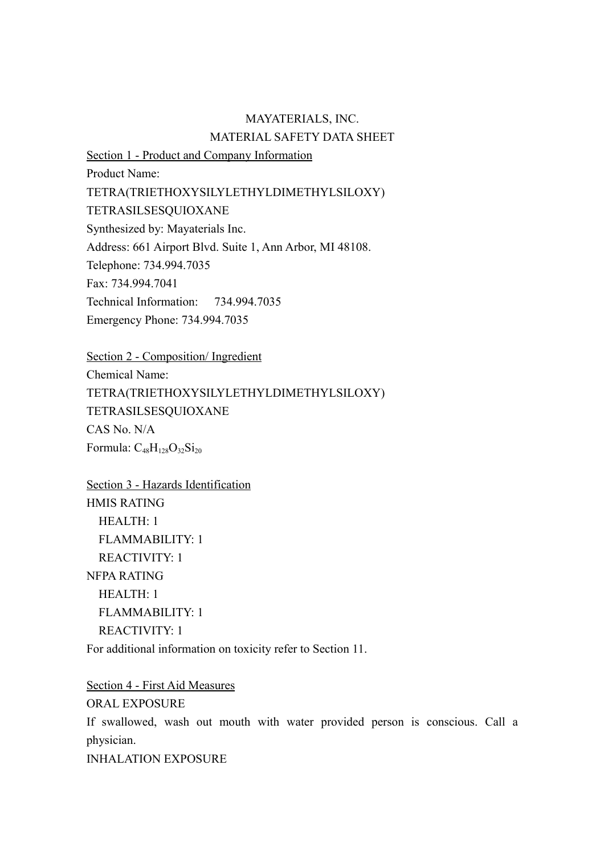## MAYATERIALS, INC. MATERIAL SAFETY DATA SHEET

Section 1 - Product and Company Information Product Name: TETRA(TRIETHOXYSILYLETHYLDIMETHYLSILOXY) TETRASILSESQUIOXANE Synthesized by: Mayaterials Inc. Address: 661 Airport Blvd. Suite 1, Ann Arbor, MI 48108. Telephone: 734.994.7035 Fax: 734.994.7041 Technical Information: 734.994.7035 Emergency Phone: 734.994.7035

Section 2 - Composition/ Ingredient Chemical Name: TETRA(TRIETHOXYSILYLETHYLDIMETHYLSILOXY) TETRASILSESQUIOXANE CAS No. N/A Formula:  $C_{48}H_{128}O_{32}Si_{20}$ 

Section 3 - Hazards Identification HMIS RATING HEALTH: 1 FLAMMABILITY: 1 REACTIVITY: 1 NFPA RATING HEALTH: 1 FLAMMABILITY: 1 REACTIVITY: 1 For additional information on toxicity refer to Section 11.

Section 4 - First Aid Measures

ORAL EXPOSURE If swallowed, wash out mouth with water provided person is conscious. Call a physician. INHALATION EXPOSURE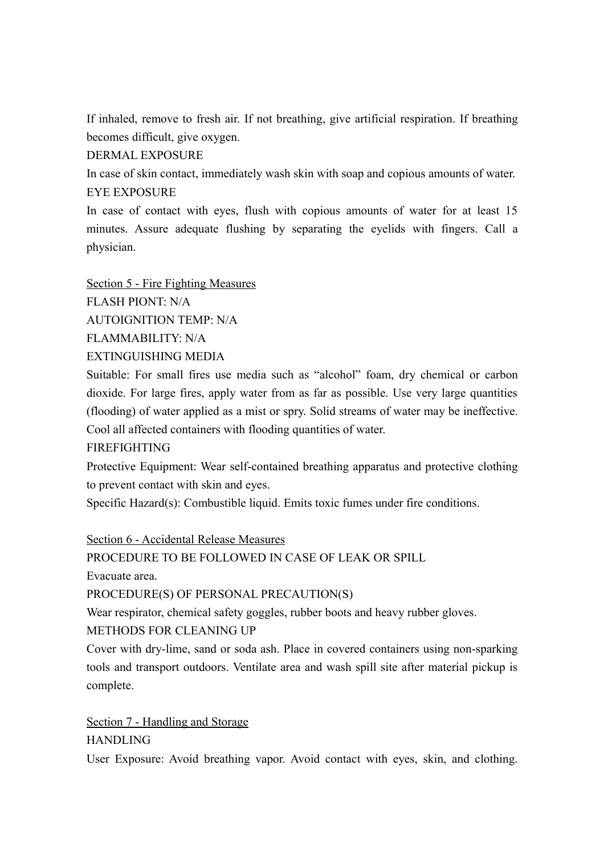If inhaled, remove to fresh air. If not breathing, give artificial respiration. If breathing becomes difficult, give oxygen.

DERMAL EXPOSURE

In case of skin contact, immediately wash skin with soap and copious amounts of water. EYE EXPOSURE

In case of contact with eyes, flush with copious amounts of water for at least 15 minutes. Assure adequate flushing by separating the eyelids with fingers. Call a physician.

Section 5 - Fire Fighting Measures FLASH PIONT: N/A AUTOIGNITION TEMP: N/A FLAMMABILITY: N/A

EXTINGUISHING MEDIA

Suitable: For small fires use media such as "alcohol" foam, dry chemical or carbon dioxide. For large fires, apply water from as far as possible. Use very large quantities (flooding) of water applied as a mist or spry. Solid streams of water may be ineffective. Cool all affected containers with flooding quantities of water.

FIREFIGHTING

Protective Equipment: Wear self-contained breathing apparatus and protective clothing to prevent contact with skin and eyes.

Specific Hazard(s): Combustible liquid. Emits toxic fumes under fire conditions.

Section 6 - Accidental Release Measures

PROCEDURE TO BE FOLLOWED IN CASE OF LEAK OR SPILL

Evacuate area.

PROCEDURE(S) OF PERSONAL PRECAUTION(S)

Wear respirator, chemical safety goggles, rubber boots and heavy rubber gloves.

METHODS FOR CLEANING UP

Cover with dry-lime, sand or soda ash. Place in covered containers using non-sparking tools and transport outdoors. Ventilate area and wash spill site after material pickup is complete.

Section 7 - Handling and Storage HANDLING

User Exposure: Avoid breathing vapor. Avoid contact with eyes, skin, and clothing.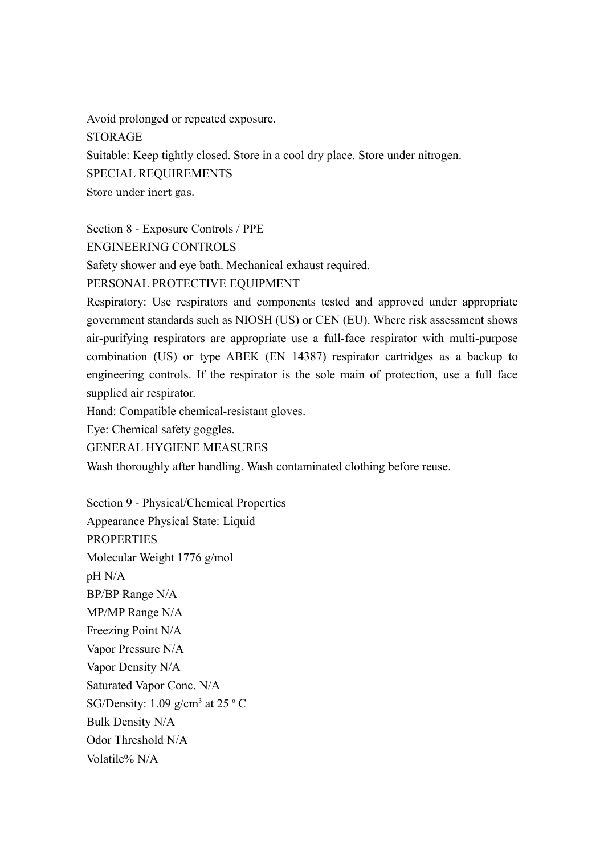Avoid prolonged or repeated exposure. STORAGE Suitable: Keep tightly closed. Store in a cool dry place. Store under nitrogen. SPECIAL REQUIREMENTS Store under inert gas.

Section 8 - Exposure Controls / PPE

ENGINEERING CONTROLS

Safety shower and eye bath. Mechanical exhaust required.

PERSONAL PROTECTIVE EQUIPMENT

Respiratory: Use respirators and components tested and approved under appropriate government standards such as NIOSH (US) or CEN (EU). Where risk assessment shows air-purifying respirators are appropriate use a full-face respirator with multi-purpose combination (US) or type ABEK (EN 14387) respirator cartridges as a backup to engineering controls. If the respirator is the sole main of protection, use a full face supplied air respirator.

Hand: Compatible chemical-resistant gloves.

Eye: Chemical safety goggles.

GENERAL HYGIENE MEASURES

Wash thoroughly after handling. Wash contaminated clothing before reuse.

Section 9 - Physical/Chemical Properties

Appearance Physical State: Liquid PROPERTIES Molecular Weight 1776 g/mol pH N/A BP/BP Range N/A MP/MP Range N/A Freezing Point N/A Vapor Pressure N/A Vapor Density N/A Saturated Vapor Conc. N/A SG/Density:  $1.09$  g/cm<sup>3</sup> at 25  $\degree$  C Bulk Density N/A Odor Threshold N/A Volatile% N/A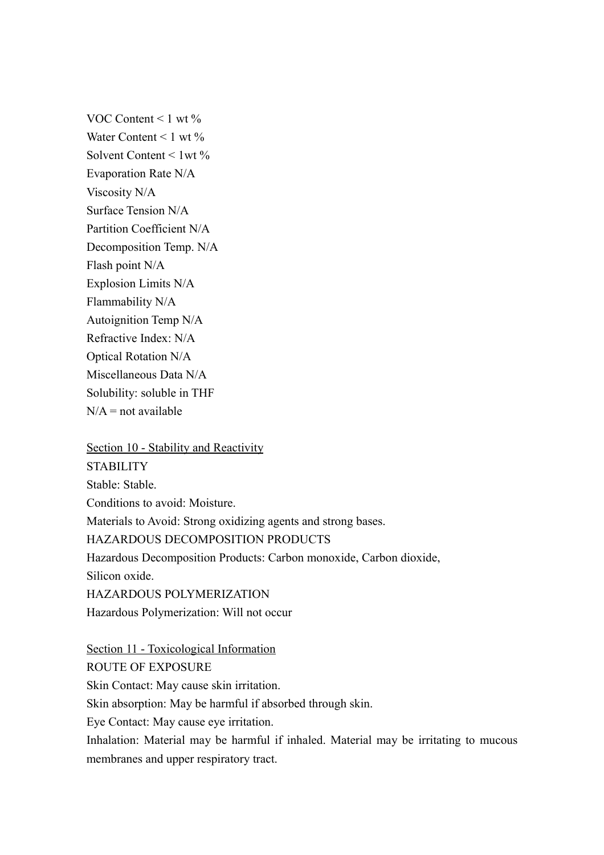VOC Content  $\leq 1$  wt  $\%$ Water Content  $\leq 1$  wt  $\%$ Solvent Content  $\leq 1$  wt  $\%$ Evaporation Rate N/A Viscosity N/A Surface Tension N/A Partition Coefficient N/A Decomposition Temp. N/A Flash point N/A Explosion Limits N/A Flammability N/A Autoignition Temp N/A Refractive Index: N/A Optical Rotation N/A Miscellaneous Data N/A Solubility: soluble in THF  $N/A$  = not available

Section 10 - Stability and Reactivity **STABILITY** Stable: Stable. Conditions to avoid: Moisture. Materials to Avoid: Strong oxidizing agents and strong bases. HAZARDOUS DECOMPOSITION PRODUCTS Hazardous Decomposition Products: Carbon monoxide, Carbon dioxide, Silicon oxide. HAZARDOUS POLYMERIZATION Hazardous Polymerization: Will not occur

Section 11 - Toxicological Information ROUTE OF EXPOSURE Skin Contact: May cause skin irritation. Skin absorption: May be harmful if absorbed through skin. Eye Contact: May cause eye irritation. Inhalation: Material may be harmful if inhaled. Material may be irritating to mucous membranes and upper respiratory tract.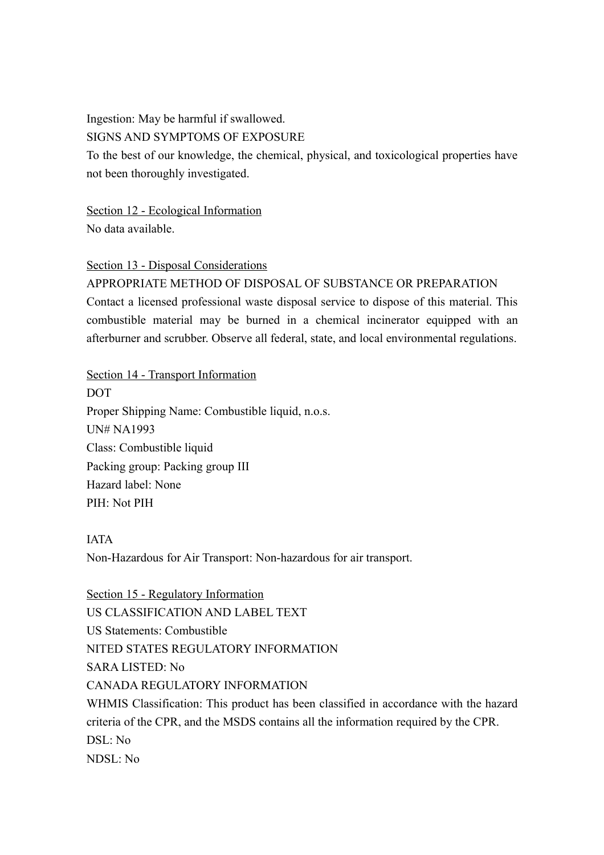Ingestion: May be harmful if swallowed.

SIGNS AND SYMPTOMS OF EXPOSURE

To the best of our knowledge, the chemical, physical, and toxicological properties have not been thoroughly investigated.

Section 12 - Ecological Information No data available.

Section 13 - Disposal Considerations

APPROPRIATE METHOD OF DISPOSAL OF SUBSTANCE OR PREPARATION Contact a licensed professional waste disposal service to dispose of this material. This combustible material may be burned in a chemical incinerator equipped with an afterburner and scrubber. Observe all federal, state, and local environmental regulations.

Section 14 - Transport Information DOT Proper Shipping Name: Combustible liquid, n.o.s. UN# NA1993 Class: Combustible liquid Packing group: Packing group III Hazard label: None PIH: Not PIH

IATA

Non-Hazardous for Air Transport: Non-hazardous for air transport.

Section 15 - Regulatory Information US CLASSIFICATION AND LABEL TEXT US Statements: Combustible NITED STATES REGULATORY INFORMATION SARA LISTED: No CANADA REGULATORY INFORMATION WHMIS Classification: This product has been classified in accordance with the hazard criteria of the CPR, and the MSDS contains all the information required by the CPR. DSL: No NDSL: No